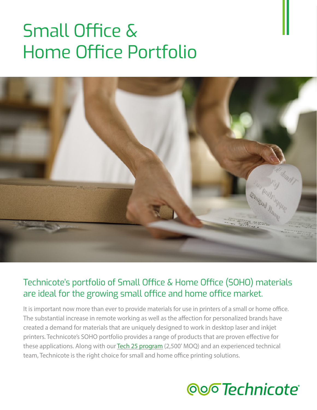# Small Office & Home Office Portfolio



## Technicote's portfolio of Small Office & Home Office (SOHO) materials are ideal for the growing small office and home office market.

It is important now more than ever to provide materials for use in printers of a small or home office. The substantial increase in remote working as well as the affection for personalized brands have created a demand for materials that are uniquely designed to work in desktop laser and inkjet printers. Technicote's SOHO portfolio provides a range of products that are proven effective for these applications. Along with our [Tech 25 program](https://www.technicote.com/services/tech-25/) (2,500' MOQ) and an experienced technical team, Technicote is the right choice for small and home office printing solutions.

## oo<sub>o</sub>Technicote®